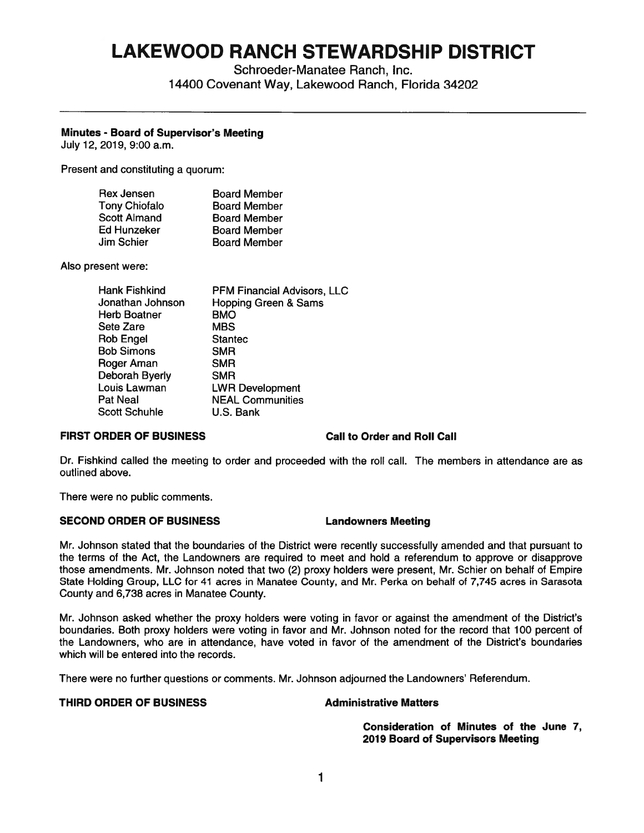# **LAKEWOOD RANCH STEWARDSHIP DISTRICT**

Schroeder-Manatee Ranch, Inc. 14400 Covenant Way, Lakewood Ranch, Florida 34202

# **Minutes** - **Board of Supervisor's Meeting**

July 12, 2019, 9:00 a.m.

Present and constituting a quorum:

| Rex Jensen           | <b>Board Member</b> |
|----------------------|---------------------|
| <b>Tony Chiofalo</b> | <b>Board Member</b> |
| <b>Scott Almand</b>  | <b>Board Member</b> |
| Ed Hunzeker          | <b>Board Member</b> |
| Jim Schier           | <b>Board Member</b> |

Also present were:

| Hank Fishkind        | <b>PFM Financial Advisors, LLC</b> |
|----------------------|------------------------------------|
| Jonathan Johnson     | <b>Hopping Green &amp; Sams</b>    |
| <b>Herb Boatner</b>  | <b>BMO</b>                         |
| Sete Zare            | <b>MBS</b>                         |
| Rob Engel            | <b>Stantec</b>                     |
| <b>Bob Simons</b>    | <b>SMR</b>                         |
| Roger Aman           | <b>SMR</b>                         |
| Deborah Byerly       | <b>SMR</b>                         |
|                      |                                    |
| Louis Lawman         | <b>LWR Development</b>             |
| Pat Neal             | <b>NEAL Communities</b>            |
| <b>Scott Schuhle</b> | U.S. Bank                          |

### **FIRST ORDER OF BUSINESS Call to Order and Roll Call**

Dr. Fishkind called the meeting to order and proceeded with the roll call. The members in attendance are as outlined above.

There were no public comments.

# **SECOND ORDER OF BUSINESS Landowners Meeting**

Mr. Johnson stated that the boundaries of the District were recently successfully amended and that pursuant to the terms of the Act, the Landowners are required to meet and hold a referendum to approve or disapprove those amendments. Mr. Johnson noted that two (2) proxy holders were present, Mr. Schier on behalf of Empire State Holding Group, LLC for 41 acres in Manatee County, and Mr. Perka on behalf of 7,745 acres in Sarasota County and 6,738 acres in Manatee County.

Mr. Johnson asked whether the proxy holders were voting in favor or against the amendment of the District's boundaries. Both proxy holders were voting in favor and Mr. Johnson noted for the record that 100 percent of the Landowners, who are in attendance, have voted in favor of the amendment of the District's boundaries which will be entered into the records.

There were no further questions or comments. Mr. Johnson adjourned the Landowners' Referendum.

### **THIRD ORDER OF BUSINESS CONSTRUCTED Administrative Matters**

**Consideration of Minutes of the June 7, 2019 Board of Supervisors Meeting**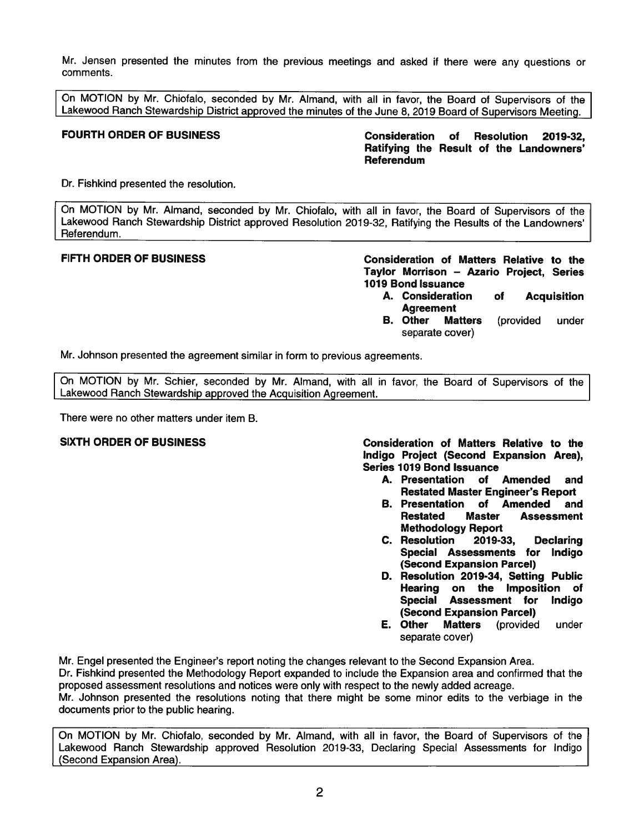Mr. Jensen presented the minutes from the previous meetings and asked if there were any questions or comments.

On MOTION by Mr. Chiofalo, seconded by Mr. Almand, with all in favor, the Board of Supervisors of the Lakewood Ranch Stewardship District approved the minutes of the June 8, 2019 Board of Supervisors Meeting.

**FOURTH ORDER OF BUSINESS Consideration of Resolution 2019-32, Ratifying the Result of the Landowners' Referendum** 

Dr. Fishkind presented the resolution.

On MOTION by Mr. Almand, seconded by Mr. Chiofalo, with all in favor, the Board of Supervisors of the Lakewood Ranch Stewardship District approved Resolution 2019-32, Ratifying the Results of the Landowners' Referendum.

**FIFTH ORDER OF BUSINESS Consideration of Matters Relative to the Taylor Morrison** - **Azario Project, Series 1019 Bond Issuance** 

- **A. Consideration of Acquisition Agreement**<br>**B.** Other Ma
- **Matters** (provided under separate cover)

Mr. Johnson presented the agreement similar in form to previous agreements.

On MOTION by Mr. Schier, seconded by Mr. Almand, with all in favor, the Board of Supervisors of the Lakewood Ranch Stewardship approved the Acquisition Agreement.

There were no other matters under item B.

**SIXTH ORDER OF BUSINESS Consideration of Matters Relative to the Indigo Project (Second Expansion Area), Series 1019 Bond Issuance** 

- **A. Presentation of Amended and Restated Master Engineer's Report**
- **B. Presentation of Amended and Restated Master Assessment Methodology Report**
- **C. Resolution 2019-33, Declaring Special Assessments for Indigo (Second Expansion Parcel)**
- **D. Resolution 2019-34, Setting Public Hearing on the Imposition of Special Assessment for Indigo (Second Expansion Parcel)**<br>**E. Other Matters** (provided
- **E. Other Matters** (provided under separate cover)

Mr. Engel presented the Engineer's report noting the changes relevant to the Second Expansion Area. Dr. Fishkind presented the Methodology Report expanded to include the Expansion area and confirmed that the proposed assessment resolutions and notices were only with respect to the newly added acreage. Mr. Johnson presented the resolutions noting that there might be some minor edits to the verbiage in the documents prior to the public hearing.

On MOTION by Mr. Chiofalo, seconded by Mr. Almand, with all in favor, the Board of Supervisors of the Lakewood Ranch Stewardship approved Resolution 2019-33, Declaring Special Assessments for Indigo (Second Expansion Area).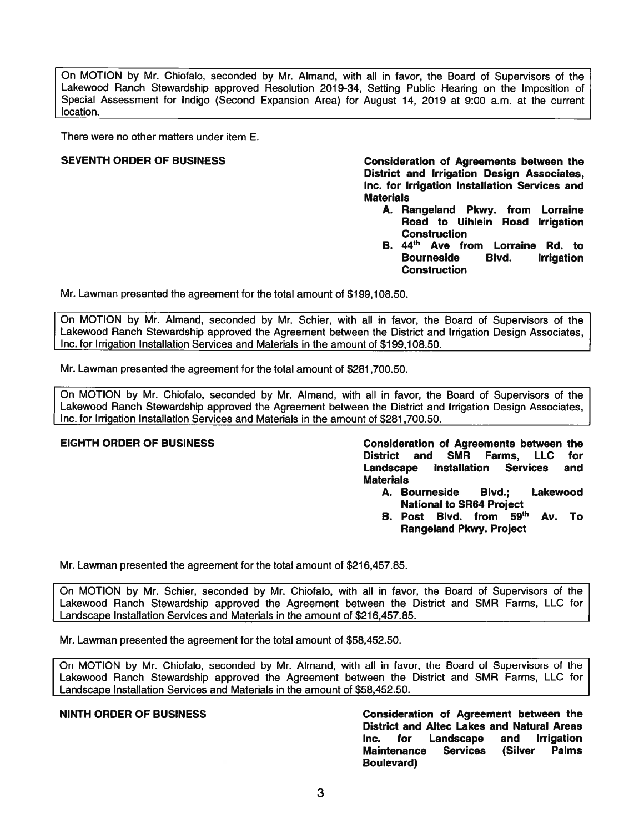On MOTION by Mr. Chiofalo, seconded by Mr. Almand, with all in favor, the Board of Supervisors of the Lakewood Ranch Stewardship approved Resolution 2019-34, Setting Public Hearing on the Imposition of Special Assessment for Indigo (Second Expansion Area) for August 14, 2019 at 9:00 a.m. at the current location.

There were no other matters under item E.

**SEVENTH ORDER OF BUSINESS Consideration of Agreements between the District and Irrigation Design Associates, Inc. for Irrigation Installation Services and Materials** 

- **A. Rangeland Pkwy. from Lorraine Road to Uihlein Road Irrigation Construction**
- **44 B. th Ave from Lorraine Rd. to Bourneside Blvd. Irrigation Construction**

Mr. Lawman presented the agreement for the total amount of \$[199,108.50](https://199,108.50).

On MOTION by Mr. Almand, seconded by Mr. Schier, with all in favor, the Board of Supervisors of the Lakewood Ranch Stewardship approved the Agreement between the District and Irrigation Design Associates, Inc. for Irrigation Installation Services and Materials in the amount of \$[199,108.50](https://199,108.50).

Mr. Lawman presented the agreement for the total amount of \$[281,700.50](https://281,700.50).

On MOTION by Mr. Chiofalo, seconded by Mr. Almand, with all in favor, the Board of Supervisors of the Lakewood Ranch Stewardship approved the Agreement between the District and Irrigation Design Associates, Inc. for Irrigation Installation Services and Materials in the amount of \$[281,700.50](https://281,700.50).

**EIGHTH ORDER OF BUSINESS Consideration of Agreements between the District and SMR Farms, LLC for Landscape Installation Services and Materials** 

- **A. Bourneside Blvd.; Lakewood National to SR64 Project**
- **59 B. Post Blvd. th from Av. To Rangeland Pkwy. Project**

Mr. Lawman presented the agreement for the total amount of \$[216,457.85](https://216,457.85).

On MOTION by Mr. Schier, seconded by Mr. Chiofalo, with all in favor, the Board of Supervisors of the Lakewood Ranch Stewardship approved the Agreement between the District and SMR Farms, LLC for Landscape Installation Services and Materials in the amount of [\\$216,457.85](https://216,457.85).

Mr. Lawman presented the agreement for the total amount of \$[58,452.50](https://58,452.50).

On MOTION by Mr. Chiofalo, seconded by Mr. Almand, with all in favor, the Board of Supervisors of the Lakewood Ranch Stewardship approved the Agreement between the District and SMR Farms, LLC for Landscape Installation Services and Materials in the amount of [\\$58,452.50](https://58,452.50).

**NINTH ORDER OF BUSINESS Consideration of Agreement between the District and Altec Lakes and Natural Areas Inc. for Landscape and Irrigation Maintenance Services (Silver Palms Boulevard)**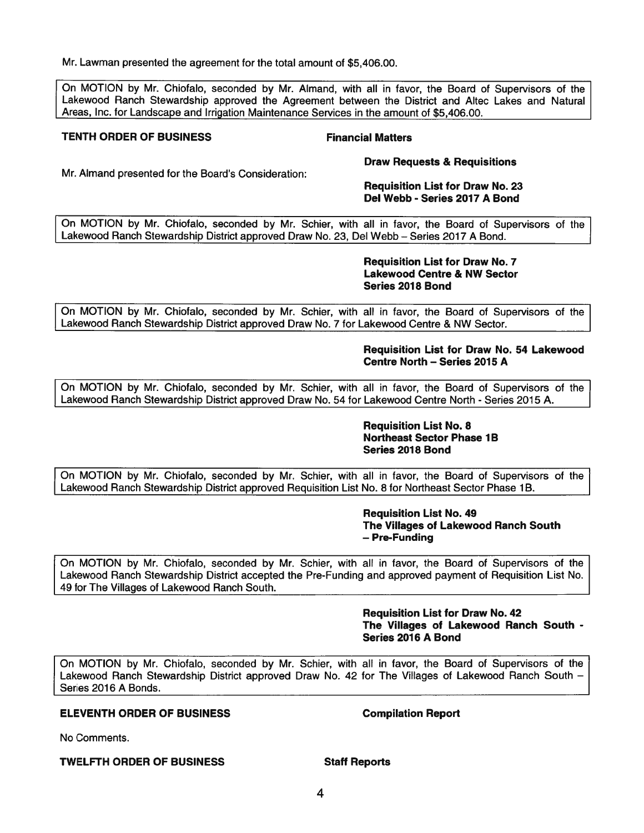Mr. Lawman presented the agreement for the total amount of \$[5,406.00](https://5,406.00).

On MOTION by Mr. Chiofalo, seconded by Mr. Almand, with all in favor, the Board of Supervisors of the Lakewood Ranch Stewardship approved the Agreement between the District and Altec Lakes and Natural Areas, Inc. for Landscape and Irrigation Maintenance Services in the amount of \$[5,406.00](https://5,406.00).

### **TENTH ORDER OF BUSINESS FINANCIAL FINANCIAL Matters**

**Draw Requests & Requisitions** 

Mr. Almand presented for the Board's Consideration:

### **Requisition List for Draw No. 23 Del Webb - Series 2017 A Bond**

On MOTION by Mr. Chiofalo, seconded by Mr. Schier, with all in favor, the Board of Supervisors of the Lakewood Ranch Stewardship District approved Draw No. 23, Del Webb - Series 2017 A Bond.

### **Requisition List for Draw No. 7 Lakewood Centre & NW Sector Series 2018 Bond**

On MOTION by Mr. Chiofalo, seconded by Mr. Schier, with all in favor, the Board of Supervisors of the Lakewood Ranch Stewardship District approved Draw No. 7 for Lakewood Centre & NW Sector.

# **Requisition List for Draw No. 54 Lakewood Centre North - Series 2015 A**

On MOTION by Mr. Chiofalo, seconded by Mr. Schier, with all in favor, the Board of Supervisors of the Lakewood Ranch Stewardship District approved Draw No. 54 for Lakewood Centre North - Series 2015 A.

# **Requisition List No. 8 Northeast Sector Phase 1B Series 2018 Bond**

On MOTION by Mr. Chiofalo, seconded by Mr. Schier, with all in favor, the Board of Supervisors of the Lakewood Ranch Stewardship District approved Requisition List No. 8 for Northeast Sector Phase 1B.

### **Requisition List No. 49 The Villages of Lakewood Ranch South**  - **Pre-Funding**

On MOTION by Mr. Chiofalo, seconded by Mr. Schier, with all in favor, the Board of Supervisors of the Lakewood Ranch Stewardship District accepted the Pre-Funding and approved payment of Requisition List No. 49 for The Villages of Lakewood Ranch South.

> **Requisition List for Draw No. 42 The Villages of Lakewood Ranch South** - **Series 2016 A Bond**

On MOTION by Mr. Chiofalo, seconded by Mr. Schier, with all in favor, the Board of Supervisors of the Lakewood Ranch Stewardship District approved Draw No. 42 for The Villages of Lakewood Ranch South - Series 2016 A Bonds.

# **ELEVENTH ORDER OF BUSINESS Compilation Report**

No Comments.

**TWELFTH ORDER OF BUSINESS Staff Reports**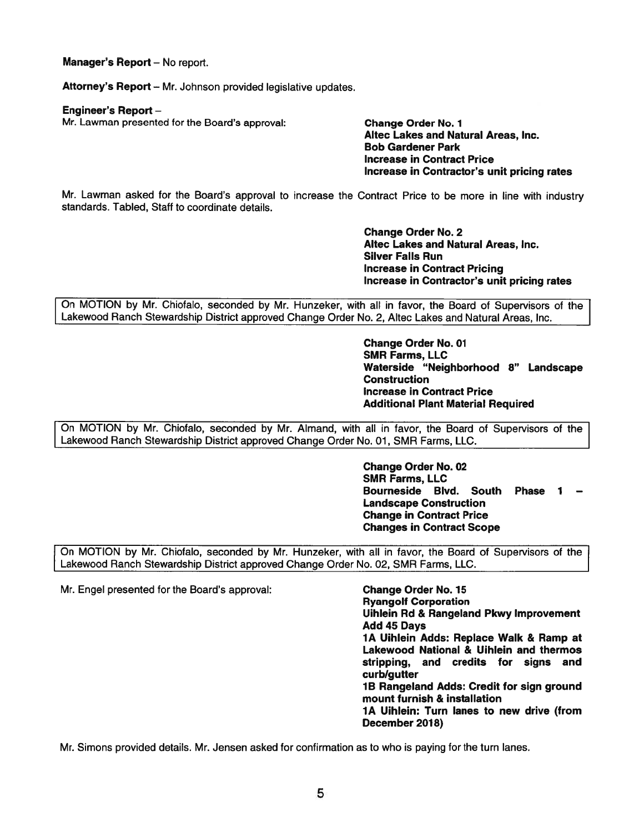**Manager's Report - No report.** 

Attorney's Report - Mr. Johnson provided legislative updates.

### **Engineer's Report** -

Mr. Lawman presented for the Board's approval: **Change Order No. 1** 

**Altec Lakes and Natural Areas, Inc. Bob Gardener Park Increase in Contract Price Increase in Contractor's unit pricing rates** 

Mr. Lawman asked for the Board's approval to increase the Contract Price to be more in line with industry standards. Tabled, Staff to coordinate details.

> **Change Order No. 2 Altec Lakes and Natural Areas, Inc. Silver Falls Run Increase in Contract Pricing Increase in Contractor's unit pricing rates**

On MOTION by Mr. Chiofalo, seconded by Mr. Hunzeker, with all in favor, the Board of Supervisors of the Lakewood Ranch Stewardship District approved Change Order No. 2, Altec Lakes and Natural Areas, Inc.

> **Change Order No. 01 SMR Farms, LLC Waterside "Neighborhood 8" Landscape Construction Increase in Contract Price Additional Plant Material Required**

On MOTION by Mr. Chiofalo, seconded by Mr. Almand, with all in favor, the Board of Supervisors of the Lakewood Ranch Stewardship District approved Change Order No. 01, SMR Farms, LLC.

> **Change Order No. 02 SMR Farms, LLC Bourneside Blvd. South Landscape Construction Change in Contract Price Changes in Contract Scope**  Phase 1

On MOTION by Mr. Chiofalo, seconded by Mr. Hunzeker, with all in favor, the Board of Supervisors of the Lakewood Ranch Stewardship District approved Change Order No. 02, SMR Farms, LLC.

Mr. Engel presented for the Board's approval: **Change Order No. 15** 

**Ryangolf Corporation Uihlein Rd** & **Rangeland Pkwy Improvement Add 45 Days 1 A Uihlein Adds: Replace Walk** & **Ramp at Lakewood National** & **Uihlein and thermos stripping, and credits for signs and curb/gutter 1 B Rangeland Adds: Credit for sign ground mount furnish** & **installation 1 A Uihlein: Turn lanes to new drive (from December 2018)** 

Mr. Simons provided details. Mr. Jensen asked for confirmation as to who is paying for the turn lanes.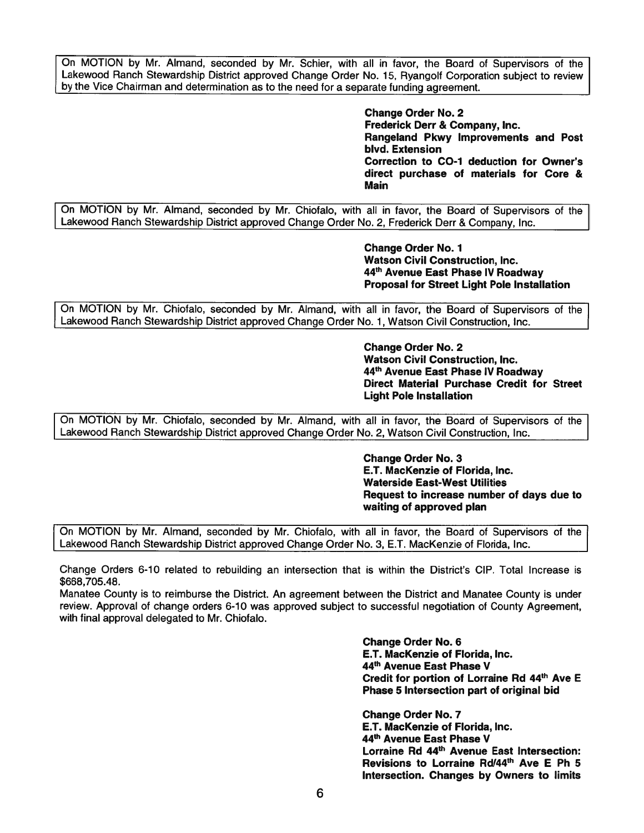On MOTION by Mr. Almand, seconded by Mr. Schier, with all in favor, the Board of Supervisors of the Lakewood Ranch Stewardship District approved Change Order No. 15, Ryangolf Corporation subject to review by the Vice Chairman and determination as to the need for a separate funding agreement.

> **Change Order No. 2 Frederick Derr** & **Company, Inc. Rangeland Pkwy Improvements and Post blvd. Extension Correction to C0-1 deduction for Owner's direct purchase of materials for Core** & **Main**

On MOTION by Mr. Almand, seconded by Mr. Chiofalo, with all in favor, the Board of Supervisors of the Lakewood Ranch Stewardship District approved Change Order No. 2, Frederick Derr & Company, Inc.

> **Change Order No. 1 Watson Civil Construction, Inc. <sup>44</sup>th Avenue East Phase IV Roadway Proposal for Street Light Pole Installation**

On MOTION by Mr. Chiofalo, seconded by Mr. Almand, with all in favor, the Board of Supervisors of the Lakewood Ranch Stewardship District approved Change Order No. 1, Watson Civil Construction, Inc.

> **Change Order No. 2 Watson Civil Construction, Inc. <sup>44</sup>th Avenue East Phase IV Roadway Direct Material Purchase Credit for Street Light Pole Installation**

On MOTION by Mr. Chiofalo, seconded by Mr. Almand, with all in favor, the Board of Supervisors of the Lakewood Ranch Stewardship District approved Change Order No. 2, Watson Civil Construction, Inc.

> **Change Order No. 3 E.T. MacKenzie of Florida, Inc. Waterside East-West Utilities Request to increase number of days due to waiting of approved plan**

On MOTION by Mr. Almand, seconded by Mr. Chiofalo, with all in favor, the Board of Supervisors of the Lakewood Ranch Stewardship District approved Change Order No. 3, E.T. MacKenzie of Florida, Inc.

Change Orders 6-10 related to rebuilding an intersection that is within the District's CIP. Total Increase is \$[668,705.48](https://668,705.48).

Manatee County is to reimburse the District. An agreement between the District and Manatee County is under review. Approval of change orders 6-10 was approved subject to successful negotiation of County Agreement, with final approval delegated to Mr. Chiofalo.

> **Change Order No. 6 E.T. MacKenzie of Florida, Inc. 44th Avenue East Phase V Credit for portion of Lorraine Rd 44th Ave E Phase 5 Intersection part of original bid**

> **Change Order No. 7 E.T. MacKenzie of Florida, Inc. 44th Avenue East Phase V Lorraine Rd 44th Avenue East Intersection: Revisions to Lorraine Rcl/44th Ave E Ph 5 Intersection. Changes by Owners to limits**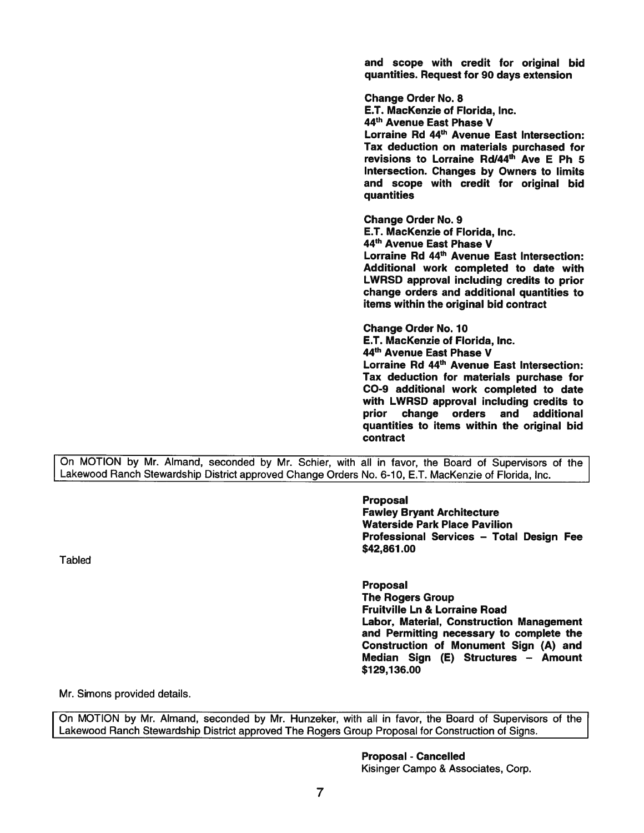and scope with credit for original bid quantities. Request for 90 days extension

Change Order No. 8 E.T. MacKenzie of Florida, Inc. 44th Avenue East Phase V Lorraine Rd 44<sup>th</sup> Avenue East Intersection: Tax deduction on materials purchased for revisions to Lorraine Rd/44<sup>th</sup> Ave E Ph 5 Intersection. Changes by Owners to limits and scope with credit for original bid quantities

Change Order No. 9 E.T. MacKenzie of Florida, Inc. 44th Avenue East **Phase** V Lorraine Rd 44<sup>th</sup> Avenue East Intersection: Additional work completed to date with LWRSD approval including credits to prior change orders and additional quantities to items within the original bid contract

Change Order No. 10 E.T. MacKenzie of Florida, Inc. 44th Avenue East Phase V Lorraine Rd 44<sup>th</sup> Avenue East Intersection: Tax deduction for materials purchase for CO-9 additional work completed to date with LWRSD approval including credits to prior change orders and additional quantities to items within the original bid contract

On MOTION by Mr. Almand, seconded by Mr. Schier, with all in favor, the Board of Supervisors of the Lakewood Ranch Stewardship District approved Change Orders No. 6-10, E.T. MacKenzie of Florida, Inc.

> Proposal Fawley Bryant Architecture Waterside Park Place Pavilion Professional Services - Total Design Fee **\$42,861.00**

Tabled

Proposal The Rogers Group Fruitville Ln & Lorraine Road Labor, Material, Construction Ma nagement and Permitting necessary to <sup>c</sup> om plete the Construction of Monument Si gn **(A) and**  Median Sign (E) Structures – Amount \$129,136.00

Mr. Simons provided details.

On MOTION by Mr. Almand, seconded by Mr. Hunzeker, with all in favor, the Board of Supervisors of the Lakewood Ranch Stewardship District approved The Rogers Group Proposal for Construction of Signs.

### Proposal - Cancelled

Kisinger Campo & Associates, Corp.